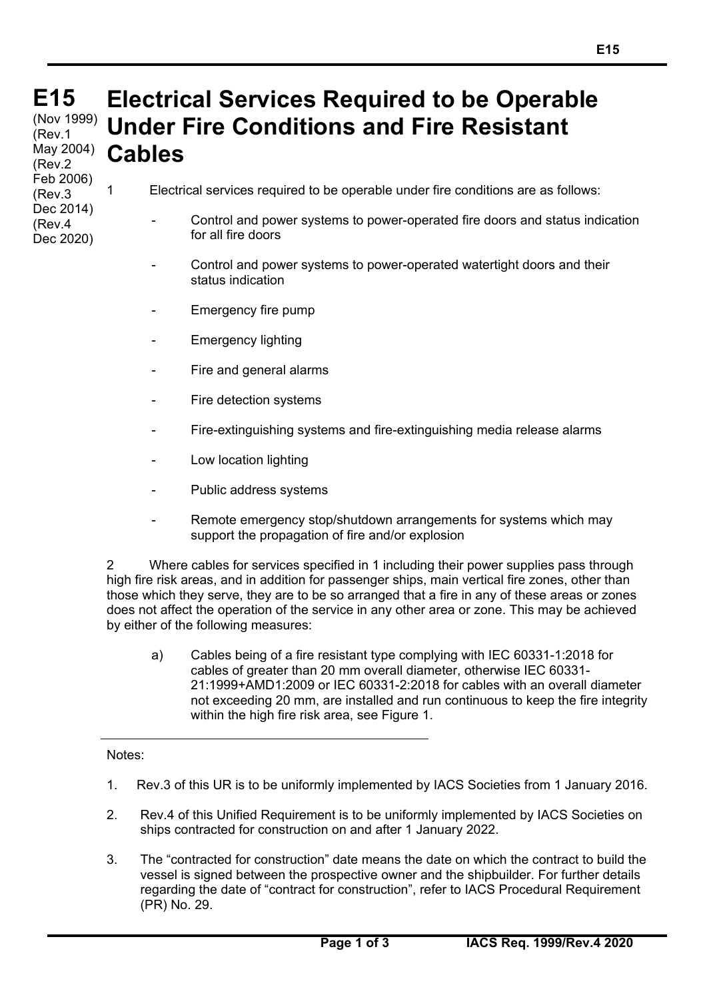## **E15 E15**  (Nov 1999)<br>(Dav 1 **Electrical Services Required to be Operable Under Fire Conditions and Fire Resistant Cables** (Rev.1 May 2004) (Rev.2

1 Electrical services required to be operable under fire conditions are as follows:

- Control and power systems to power-operated fire doors and status indication for all fire doors
- Control and power systems to power-operated watertight doors and their status indication
- Emergency fire pump
- Emergency lighting
- Fire and general alarms
- Fire detection systems
- Fire-extinguishing systems and fire-extinguishing media release alarms
- Low location lighting
- Public address systems
- Remote emergency stop/shutdown arrangements for systems which may support the propagation of fire and/or explosion

2 Where cables for services specified in 1 including their power supplies pass through high fire risk areas, and in addition for passenger ships, main vertical fire zones, other than those which they serve, they are to be so arranged that a fire in any of these areas or zones does not affect the operation of the service in any other area or zone. This may be achieved by either of the following measures:

a) Cables being of a fire resistant type complying with IEC 60331-1:2018 for cables of greater than 20 mm overall diameter, otherwise IEC 60331- 21:1999+AMD1:2009 or IEC 60331-2:2018 for cables with an overall diameter not exceeding 20 mm, are installed and run continuous to keep the fire integrity within the high fire risk area, see Figure 1.

## Notes:

Feb 2006) (Rev.3 Dec 2014) (Rev.4 Dec 2020)

 $\overline{a}$ 

- 1. Rev.3 of this UR is to be uniformly implemented by IACS Societies from 1 January 2016.
- 2. Rev.4 of this Unified Requirement is to be uniformly implemented by IACS Societies on ships contracted for construction on and after 1 January 2022.
- 3. The "contracted for construction" date means the date on which the contract to build the vessel is signed between the prospective owner and the shipbuilder. For further details regarding the date of "contract for construction", refer to IACS Procedural Requirement (PR) No. 29.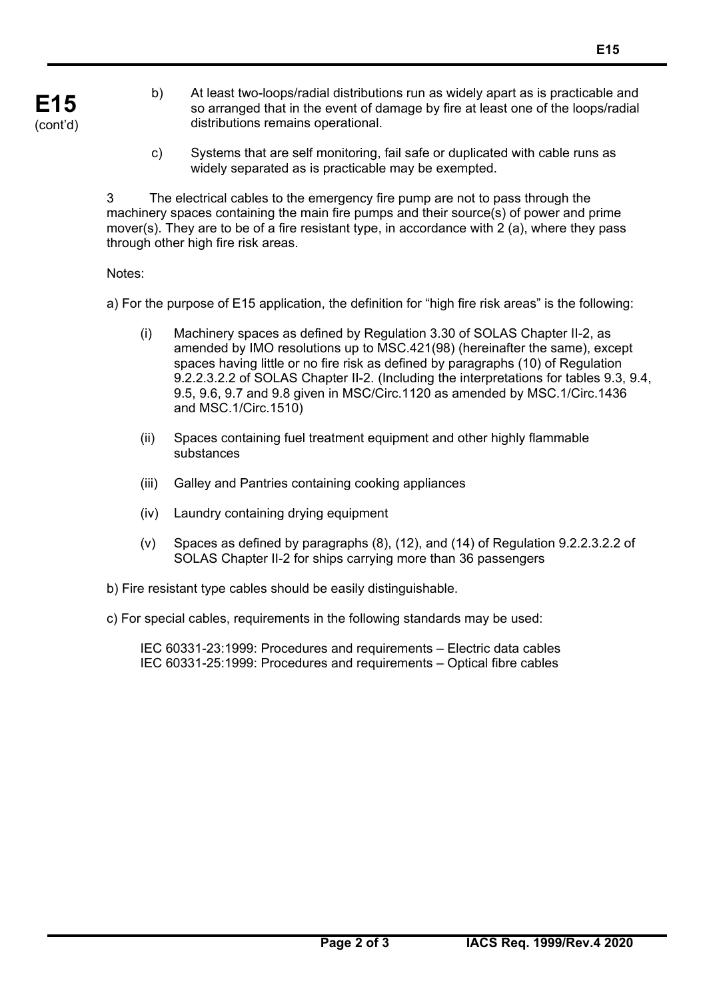- b) At least two-loops/radial distributions run as widely apart as is practicable and so arranged that in the event of damage by fire at least one of the loops/radial distributions remains operational.
- c) Systems that are self monitoring, fail safe or duplicated with cable runs as widely separated as is practicable may be exempted.

3 The electrical cables to the emergency fire pump are not to pass through the machinery spaces containing the main fire pumps and their source(s) of power and prime mover(s). They are to be of a fire resistant type, in accordance with 2 (a), where they pass through other high fire risk areas.

Notes:

 $\overline{a}$ 

a) For the purpose of E15 application, the definition for "high fire risk areas" is the following:

- (i) Machinery spaces as defined by Regulation 3.30 of SOLAS Chapter II-2, as amended by IMO resolutions up to MSC.421(98) (hereinafter the same), except spaces having little or no fire risk as defined by paragraphs (10) of Regulation 9.2.2.3.2.2 of SOLAS Chapter II-2. (Including the interpretations for tables 9.3, 9.4, 9.5, 9.6, 9.7 and 9.8 given in MSC/Circ.1120 as amended by MSC.1/Circ.1436 and MSC.1/Circ.1510)
- (ii) Spaces containing fuel treatment equipment and other highly flammable substances
- (iii) Galley and Pantries containing cooking appliances
- (iv) Laundry containing drying equipment
- (v) Spaces as defined by paragraphs (8), (12), and (14) of Regulation 9.2.2.3.2.2 of SOLAS Chapter II-2 for ships carrying more than 36 passengers
- b) Fire resistant type cables should be easily distinguishable.
- c) For special cables, requirements in the following standards may be used:

 IEC 60331-23:1999: Procedures and requirements – Electric data cables IEC 60331-25:1999: Procedures and requirements – Optical fibre cables